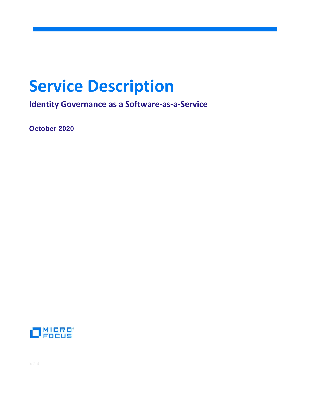# **Service Description**

**Identity Governance as a Software-as-a-Service**

**October 2020** 

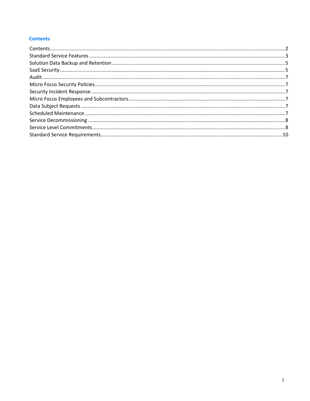## <span id="page-1-0"></span>**Contents**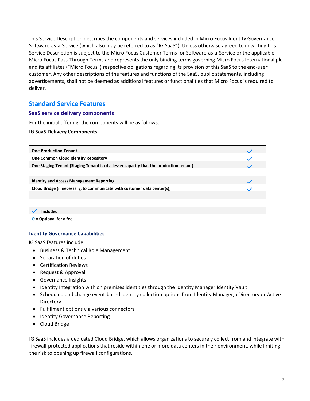This Service Description describes the components and services included in Micro Focus Identity Governance Software-as-a-Service (which also may be referred to as "IG SaaS"). Unless otherwise agreed to in writing this Service Description is subject to the Micro Focus Customer Terms for Software-as-a-Service or the applicable Micro Focus Pass-Through Terms and represents the only binding terms governing Micro Focus International plc and its affiliates ("Micro Focus") respective obligations regarding its provision of this SaaS to the end-user customer. Any other descriptions of the features and functions of the SaaS, public statements, including advertisements, shall not be deemed as additional features or functionalities that Micro Focus is required to deliver.

# <span id="page-2-0"></span>**Standard Service Features**

#### **SaaS service delivery components**

For the initial offering, the components will be as follows:

#### **IG SaaS Delivery Components**

| <b>One Production Tenant</b>                                                           |  |
|----------------------------------------------------------------------------------------|--|
| <b>One Common Cloud Identity Repository</b>                                            |  |
| One Staging Tenant (Staging Tenant is of a lesser capacity that the production tenant) |  |
|                                                                                        |  |
| <b>Identity and Access Management Reporting</b>                                        |  |
| Cloud Bridge (if necessary, to communicate with customer data center(s))               |  |
|                                                                                        |  |
|                                                                                        |  |

 $\checkmark$  = Included

**O = Optional for a fee**

#### **Identity Governance Capabilities**

IG SaaS features include:

- Business & Technical Role Management
- Separation of duties
- Certification Reviews
- Request & Approval
- Governance Insights
- Identity Integration with on premises identities through the Identity Manager Identity Vault
- Scheduled and change event-based identity collection options from Identity Manager, eDirectory or Active **Directory**
- Fulfillment options via various connectors
- Identity Governance Reporting
- Cloud Bridge

IG SaaS includes a dedicated Cloud Bridge, which allows organizations to securely collect from and integrate with firewall-protected applications that reside within one or more data centers in their environment, while limiting the risk to opening up firewall configurations.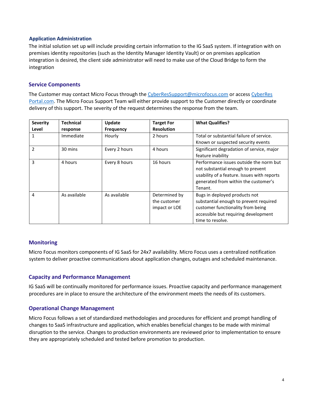#### **Application Administration**

The initial solution set up will include providing certain information to the IG SaaS system. If integration with on premises identity repositories (such as the Identity Manager Identity Vault) or on premises application integration is desired, the client side administrator will need to make use of the Cloud Bridge to form the integration

## **Service Components**

The Customer may contact Micro Focus through the [CyberResSupport@microfocus.com](mailto:CyberResSupport@microfocus.com) or access CyberRes Portal.com. The Micro Focus Support Team will either provide support to the Customer directly or coordinate delivery of this support. The severity of the request determines the response from the team.

| <b>Severity</b> | <b>Technical</b> | Update        | <b>Target For</b> | <b>What Qualifies?</b>                      |
|-----------------|------------------|---------------|-------------------|---------------------------------------------|
| Level           | response         | Frequency     | <b>Resolution</b> |                                             |
|                 | Immediate        | Hourly        | 2 hours           | Total or substantial failure of service.    |
|                 |                  |               |                   | Known or suspected security events          |
| 2               | 30 mins          | Every 2 hours | 4 hours           | Significant degradation of service, major   |
|                 |                  |               |                   | feature inability                           |
| 3               | 4 hours          | Every 8 hours | 16 hours          | Performance issues outside the norm but     |
|                 |                  |               |                   | not substantial enough to prevent           |
|                 |                  |               |                   | usability of a feature. Issues with reports |
|                 |                  |               |                   | generated from within the customer's        |
|                 |                  |               |                   | Tenant.                                     |
| 4               | As available     | As available  | Determined by     | Bugs in deployed products not               |
|                 |                  |               | the customer      | substantial enough to prevent required      |
|                 |                  |               | impact or LOE     | customer functionality from being           |
|                 |                  |               |                   | accessible but requiring development        |
|                 |                  |               |                   | time to resolve.                            |

## **Monitoring**

Micro Focus monitors components of IG SaaS for 24x7 availability. Micro Focus uses a centralized notification system to deliver proactive communications about application changes, outages and scheduled maintenance.

## **Capacity and Performance Management**

IG SaaS will be continually monitored for performance issues. Proactive capacity and performance management procedures are in place to ensure the architecture of the environment meets the needs of its customers.

## **Operational Change Management**

Micro Focus follows a set of standardized methodologies and procedures for efficient and prompt handling of changes to SaaS infrastructure and application, which enables beneficial changes to be made with minimal disruption to the service. Changes to production environments are reviewed prior to implementation to ensure they are appropriately scheduled and tested before promotion to production.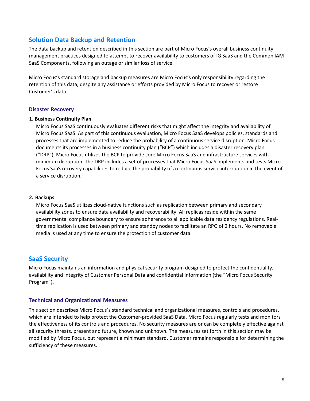# <span id="page-4-0"></span>**Solution Data Backup and Retention**

The data backup and retention described in this section are part of Micro Focus's overall business continuity management practices designed to attempt to recover availability to customers of IG SaaS and the Common IAM SaaS Components, following an outage or similar loss of service.

Micro Focus's standard storage and backup measures are Micro Focus's only responsibility regarding the retention of this data, despite any assistance or efforts provided by Micro Focus to recover or restore Customer's data.

#### **Disaster Recovery**

#### **1. Business Continuity Plan**

Micro Focus SaaS continuously evaluates different risks that might affect the integrity and availability of Micro Focus SaaS. As part of this continuous evaluation, Micro Focus SaaS develops policies, standards and processes that are implemented to reduce the probability of a continuous service disruption. Micro Focus documents its processes in a business continuity plan ("BCP") which includes a disaster recovery plan ("DRP"). Micro Focus utilizes the BCP to provide core Micro Focus SaaS and infrastructure services with minimum disruption. The DRP includes a set of processes that Micro Focus SaaS implements and tests Micro Focus SaaS recovery capabilities to reduce the probability of a continuous service interruption in the event of a service disruption.

#### **2. Backups**

Micro Focus SaaS utilizes cloud-native functions such as replication between primary and secondary availability zones to ensure data availability and recoverability. All replicas reside within the same governmental compliance boundary to ensure adherence to all applicable data residency regulations. Realtime replication is used between primary and standby nodes to facilitate an RPO of 2 hours. No removable media is used at any time to ensure the protection of customer data.

## <span id="page-4-1"></span>**SaaS Security**

Micro Focus maintains an information and physical security program designed to protect the confidentiality, availability and integrity of Customer Personal Data and confidential information (the "Micro Focus Security Program").

## **Technical and Organizational Measures**

This section describes Micro Focus´s standard technical and organizational measures, controls and procedures, which are intended to help protect the Customer-provided SaaS Data. Micro Focus regularly tests and monitors the effectiveness of its controls and procedures. No security measures are or can be completely effective against all security threats, present and future, known and unknown. The measures set forth in this section may be modified by Micro Focus, but represent a minimum standard. Customer remains responsible for determining the sufficiency of these measures.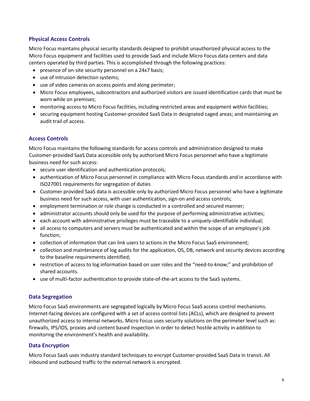## **Physical Access Controls**

Micro Focus maintains physical security standards designed to prohibit unauthorized physical access to the Micro Focus equipment and facilities used to provide SaaS and include Micro Focus data centers and data centers operated by third parties. This is accomplished through the following practices:

- presence of on-site security personnel on a 24x7 basis;
- use of intrusion detection systems;
- use of video cameras on access points and along perimeter;
- Micro Focus employees, subcontractors and authorized visitors are issued identification cards that must be worn while on premises;
- monitoring access to Micro Focus facilities, including restricted areas and equipment within facilities;
- securing equipment hosting Customer-provided SaaS Data in designated caged areas; and maintaining an audit trail of access.

## **Access Controls**

Micro Focus maintains the following standards for access controls and administration designed to make Customer-provided SaaS Data accessible only by authorized Micro Focus personnel who have a legitimate business need for such access:

- secure user identification and authentication protocols;
- authentication of Micro Focus personnel in compliance with Micro Focus standards and in accordance with ISO27001 requirements for segregation of duties
- Customer provided SaaS data is accessible only by authorized Micro Focus personnel who have a legitimate business need for such access, with user authentication, sign-on and access controls;
- employment termination or role change is conducted in a controlled and secured manner;
- administrator accounts should only be used for the purpose of performing administrative activities;
- each account with administrative privileges must be traceable to a uniquely-identifiable individual;
- all access to computers and servers must be authenticated and within the scope of an employee's job function;
- collection of information that can link users to actions in the Micro Focus SaaS environment;
- collection and maintenance of log audits for the application, OS, DB, network and security devices according to the baseline requirements identified;
- restriction of access to log information based on user roles and the "need-to-know;" and prohibition of shared accounts.
- use of multi-factor authentication to provide state-of-the-art access to the SaaS systems.

## **Data Segregation**

Micro Focus SaaS environments are segregated logically by Micro Focus SaaS access control mechanisms. Internet-facing devices are configured with a set of access control lists (ACLs), which are designed to prevent unauthorized access to internal networks. Micro Focus uses security solutions on the perimeter level such as: firewalls, IPS/IDS, proxies and content based inspection in order to detect hostile activity in addition to monitoring the environment's health and availability.

## **Data Encryption**

Micro Focus SaaS uses industry standard techniques to encrypt Customer-provided SaaS Data in transit. All inbound and outbound traffic to the external network is encrypted.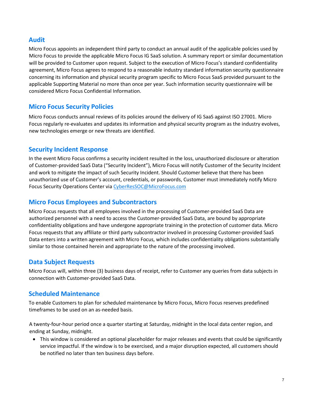## <span id="page-6-0"></span>**Audit**

Micro Focus appoints an independent third party to conduct an annual audit of the applicable policies used by Micro Focus to provide the applicable Micro Focus IG SaaS solution. A summary report or similar documentation will be provided to Customer upon request. Subject to the execution of Micro Focus's standard confidentiality agreement, Micro Focus agrees to respond to a reasonable industry standard information security questionnaire concerning its information and physical security program specific to Micro Focus SaaS provided pursuant to the applicable Supporting Material no more than once per year. Such information security questionnaire will be considered Micro Focus Confidential Information.

# <span id="page-6-1"></span>**Micro Focus Security Policies**

Micro Focus conducts annual reviews of its policies around the delivery of IG SaaS against ISO 27001. Micro Focus regularly re-evaluates and updates its information and physical security program as the industry evolves, new technologies emerge or new threats are identified.

## <span id="page-6-2"></span>**Security Incident Response**

In the event Micro Focus confirms a security incident resulted in the loss, unauthorized disclosure or alteration of Customer-provided SaaS Data ("Security Incident"), Micro Focus will notify Customer of the Security Incident and work to mitigate the impact of such Security Incident. Should Customer believe that there has been unauthorized use of Customer's account, credentials, or passwords, Customer must immediately notify Micro Focus Security Operations Center via CyberResSOC@MicroFocus.com

## <span id="page-6-3"></span>**Micro Focus Employees and Subcontractors**

Micro Focus requests that all employees involved in the processing of Customer-provided SaaS Data are authorized personnel with a need to access the Customer-provided SaaS Data, are bound by appropriate confidentiality obligations and have undergone appropriate training in the protection of customer data. Micro Focus requests that any affiliate or third party subcontractor involved in processing Customer-provided SaaS Data enters into a written agreement with Micro Focus, which includes confidentiality obligations substantially similar to those contained herein and appropriate to the nature of the processing involved.

# <span id="page-6-4"></span>**Data Subject Requests**

Micro Focus will, within three (3) business days of receipt, refer to Customer any queries from data subjects in connection with Customer-provided SaaS Data.

# <span id="page-6-5"></span>**Scheduled Maintenance**

To enable Customers to plan for scheduled maintenance by Micro Focus, Micro Focus reserves predefined timeframes to be used on an as-needed basis.

A twenty-four-hour period once a quarter starting at Saturday, midnight in the local data center region, and ending at Sunday, midnight.

• This window is considered an optional placeholder for major releases and events that could be significantly service impactful. If the window is to be exercised, and a major disruption expected, all customers should be notified no later than ten business days before.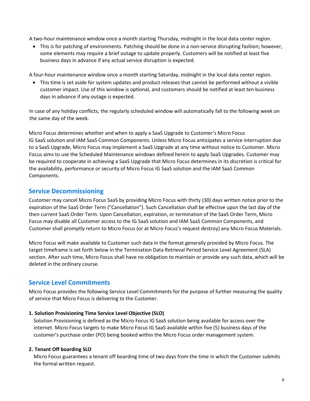A two-hour maintenance window once a month starting Thursday, midnight in the local data center region.

• This is for patching of environments. Patching should be done in a non-service disrupting fashion; however, some elements may require a brief outage to update properly. Customers will be notified at least five business days in advance if any actual service disruption is expected.

A four-hour maintenance window once a month starting Saturday, midnight in the local data center region.

• This time is set aside for system updates and product releases that cannot be performed without a visible customer impact. Use of this window is optional, and customers should be notified at least ten business days in advance if any outage is expected.

In case of any holiday conflicts, the regularly scheduled window will automatically fall to the following week on the same day of the week.

Micro Focus determines whether and when to apply a SaaS Upgrade to Customer's Micro Focus IG SaaS solution and IAM SaaS Common Components. Unless Micro Focus anticipates a service interruption due to a SaaS Upgrade, Micro Focus may implement a SaaS Upgrade at any time without notice to Customer. Micro Focus aims to use the Scheduled Maintenance windows defined herein to apply SaaS Upgrades. Customer may be required to cooperate in achieving a SaaS Upgrade that Micro Focus determines in its discretion is critical for the availability, performance or security of Micro Focus IG SaaS solution and the IAM SaaS Common Components.

## <span id="page-7-0"></span>**Service Decommissioning**

Customer may cancel Micro Focus SaaS by providing Micro Focus with thirty (30) days written notice prior to the expiration of the SaaS Order Term ("Cancellation"). Such Cancellation shall be effective upon the last day of the then current SaaS Order Term. Upon Cancellation, expiration, or termination of the SaaS Order Term, Micro Focus may disable all Customer access to the IG SaaS solution and IAM SaaS Common Components, and Customer shall promptly return to Micro Focus (or at Micro Focus's request destroy) any Micro Focus Materials.

Micro Focus will make available to Customer such data in the format generally provided by Micro Focus. The target timeframe is set forth below in the Termination Data Retrieval Period Service Level Agreement (SLA) section. After such time, Micro Focus shall have no obligation to maintain or provide any such data, which will be deleted in the ordinary course.

# <span id="page-7-1"></span>**Service Level Commitments**

Micro Focus provides the following Service Level Commitments for the purpose of further measuring the quality of service that Micro Focus is delivering to the Customer.

## **1. Solution Provisioning Time Service Level Objective (SLO)**

Solution Provisioning is defined as the Micro Focus IG SaaS solution being available for access over the internet. Micro Focus targets to make Micro Focus IG SaaS available within five (5) business days of the customer's purchase order (PO) being booked within the Micro Focus order management system.

## **2. Tenant Off boarding SLO**

Micro Focus guarantees a tenant off boarding time of two days from the time in which the Customer submits the formal written request.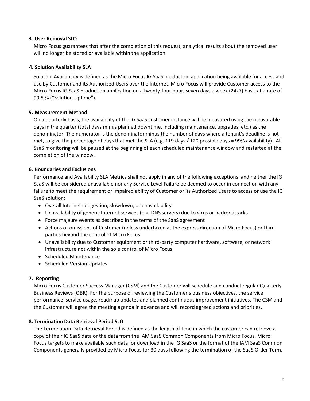#### **3. User Removal SLO**

Micro Focus guarantees that after the completion of this request, analytical results about the removed user will no longer be stored or available within the application

## **4. Solution Availability SLA**

Solution Availability is defined as the Micro Focus IG SaaS production application being available for access and use by Customer and its Authorized Users over the Internet. Micro Focus will provide Customer access to the Micro Focus IG SaaS production application on a twenty-four hour, seven days a week (24x7) basis at a rate of 99.5 % ("Solution Uptime").

## **5. Measurement Method**

On a quarterly basis, the availability of the IG SaaS customer instance will be measured using the measurable days in the quarter (total days minus planned downtime, including maintenance, upgrades, etc.) as the denominator. The numerator is the denominator minus the number of days where a tenant's deadline is not met, to give the percentage of days that met the SLA (e.g. 119 days / 120 possible days = 99% availability). All SaaS monitoring will be paused at the beginning of each scheduled maintenance window and restarted at the completion of the window.

#### **6. Boundaries and Exclusions**

Performance and Availability SLA Metrics shall not apply in any of the following exceptions, and neither the IG SaaS will be considered unavailable nor any Service Level Failure be deemed to occur in connection with any failure to meet the requirement or impaired ability of Customer or its Authorized Users to access or use the IG SaaS solution:

- Overall Internet congestion, slowdown, or unavailability
- Unavailability of generic Internet services (e.g. DNS servers) due to virus or hacker attacks
- Force majeure events as described in the terms of the SaaS agreement
- Actions or omissions of Customer (unless undertaken at the express direction of Micro Focus) or third parties beyond the control of Micro Focus
- Unavailability due to Customer equipment or third-party computer hardware, software, or network infrastructure not within the sole control of Micro Focus
- Scheduled Maintenance
- Scheduled Version Updates

#### **7. Reporting**

Micro Focus Customer Success Manager (CSM) and the Customer will schedule and conduct regular Quarterly Business Reviews (QBR). For the purpose of reviewing the Customer's business objectives, the service performance, service usage, roadmap updates and planned continuous improvement initiatives. The CSM and the Customer will agree the meeting agenda in advance and will record agreed actions and priorities.

## **8. Termination Data Retrieval Period SLO**

The Termination Data Retrieval Period is defined as the length of time in which the customer can retrieve a copy of their IG SaaS data or the data from the IAM SaaS Common Components from Micro Focus. Micro Focus targets to make available such data for download in the IG SaaS or the format of the IAM SaaS Common Components generally provided by Micro Focus for 30 days following the termination of the SaaS Order Term.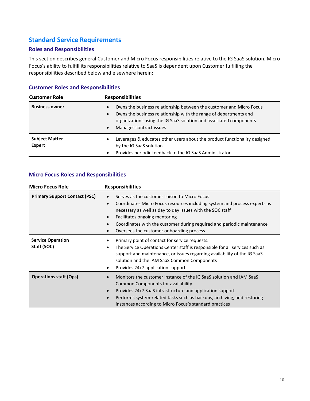# <span id="page-9-0"></span>**Standard Service Requirements**

## **Roles and Responsibilities**

This section describes general Customer and Micro Focus responsibilities relative to the IG SaaS solution. Micro Focus's ability to fulfill its responsibilities relative to SaaS is dependent upon Customer fulfilling the responsibilities described below and elsewhere herein:

## **Customer Roles and Responsibilities**

| <b>Customer Role</b>                   | <b>Responsibilities</b>                                                                                                                                                                                                                                                         |
|----------------------------------------|---------------------------------------------------------------------------------------------------------------------------------------------------------------------------------------------------------------------------------------------------------------------------------|
| <b>Business owner</b>                  | Owns the business relationship between the customer and Micro Focus<br>$\bullet$<br>Owns the business relationship with the range of departments and<br>$\bullet$<br>organizations using the IG SaaS solution and associated components<br>Manages contract issues<br>$\bullet$ |
| <b>Subject Matter</b><br><b>Expert</b> | Leverages & educates other users about the product functionality designed<br>$\bullet$<br>by the IG SaaS solution<br>Provides periodic feedback to the IG SaaS Administrator<br>$\bullet$                                                                                       |

## **Micro Focus Roles and Responsibilities**

| <b>Micro Focus Role</b>                 | <b>Responsibilities</b>                                                                                                                                                                                                                                                                                                                                                               |
|-----------------------------------------|---------------------------------------------------------------------------------------------------------------------------------------------------------------------------------------------------------------------------------------------------------------------------------------------------------------------------------------------------------------------------------------|
| <b>Primary Support Contact (PSC)</b>    | Serves as the customer liaison to Micro Focus<br>$\bullet$<br>Coordinates Micro Focus resources including system and process experts as<br>$\bullet$<br>necessary as well as day to day issues with the SOC staff<br>Facilitates ongoing mentoring<br>$\bullet$<br>Coordinates with the customer during required and periodic maintenance<br>Oversees the customer onboarding process |
| <b>Service Operation</b><br>Staff (SOC) | Primary point of contact for service requests.<br>The Service Operations Center staff is responsible for all services such as<br>$\bullet$<br>support and maintenance, or issues regarding availability of the IG SaaS<br>solution and the IAM SaaS Common Components<br>Provides 24x7 application support<br>$\bullet$                                                               |
| <b>Operations staff (Ops)</b>           | Monitors the customer instance of the IG SaaS solution and IAM SaaS<br>Common Components for availability<br>Provides 24x7 SaaS infrastructure and application support<br>Performs system-related tasks such as backups, archiving, and restoring<br>$\bullet$<br>instances according to Micro Focus's standard practices                                                             |